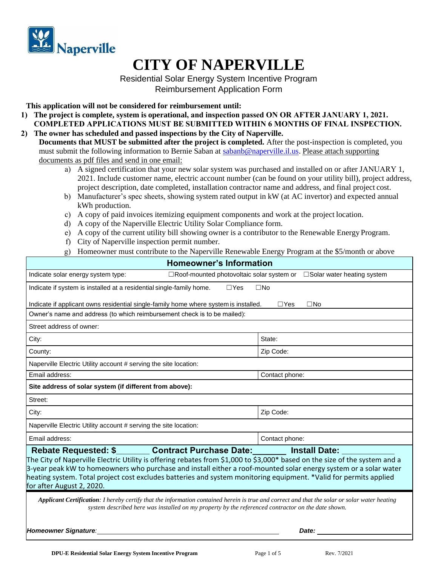

# **CITY OF NAPERVILLE**

Residential Solar Energy System Incentive Program Reimbursement Application Form

**This application will not be considered for reimbursement until:**

- **1) The project is complete, system is operational, and inspection passed ON OR AFTER JANUARY 1, 2021. COMPLETED APPLICATIONS MUST BE SUBMITTED WITHIN 6 MONTHS OF FINAL INSPECTION.**
- **2) The owner has scheduled and passed inspections by the City of Naperville. Documents that MUST be submitted after the project is completed.** After the post-inspection is completed, you must submit the following information to Bernie Saban at [sabanb@naperville.il.us.](mailto:sabanb@naperville.il.us) Please attach supporting documents as pdf files and send in one email:
	- a) A signed certification that your new solar system was purchased and installed on or after JANUARY 1, 2021. Include customer name, electric account number (can be found on your utility bill), project address, project description, date completed, installation contractor name and address, and final project cost.
	- b) Manufacturer's spec sheets, showing system rated output in kW (at AC invertor) and expected annual kWh production.
	- c) A copy of paid invoices itemizing equipment components and work at the project location.
	- d) A copy of the Naperville Electric Utility Solar Compliance form.
	- e) A copy of the current utility bill showing owner is a contributor to the Renewable Energy Program.
	- f) City of Naperville inspection permit number.
	- g) Homeowner must contribute to the Naperville Renewable Energy Program at the \$5/month or above

| <b>Homeowner's Information</b>                                                                                                                                                                                                                                                                                                                                                                                                                                                     |                                      |  |  |  |  |
|------------------------------------------------------------------------------------------------------------------------------------------------------------------------------------------------------------------------------------------------------------------------------------------------------------------------------------------------------------------------------------------------------------------------------------------------------------------------------------|--------------------------------------|--|--|--|--|
| □Roof-mounted photovoltaic solar system or<br>Indicate solar energy system type:                                                                                                                                                                                                                                                                                                                                                                                                   | $\square$ Solar water heating system |  |  |  |  |
| Indicate if system is installed at a residential single-family home.<br>$\Box$ Yes<br>$\square$ No                                                                                                                                                                                                                                                                                                                                                                                 |                                      |  |  |  |  |
| Indicate if applicant owns residential single-family home where system is installed.<br>$\Box$ Yes<br>$\square$ No                                                                                                                                                                                                                                                                                                                                                                 |                                      |  |  |  |  |
| Owner's name and address (to which reimbursement check is to be mailed):                                                                                                                                                                                                                                                                                                                                                                                                           |                                      |  |  |  |  |
| Street address of owner:                                                                                                                                                                                                                                                                                                                                                                                                                                                           |                                      |  |  |  |  |
| City:                                                                                                                                                                                                                                                                                                                                                                                                                                                                              | State:                               |  |  |  |  |
| County:                                                                                                                                                                                                                                                                                                                                                                                                                                                                            | Zip Code:                            |  |  |  |  |
| Naperville Electric Utility account # serving the site location:                                                                                                                                                                                                                                                                                                                                                                                                                   |                                      |  |  |  |  |
| Email address:                                                                                                                                                                                                                                                                                                                                                                                                                                                                     | Contact phone:                       |  |  |  |  |
| Site address of solar system (if different from above):                                                                                                                                                                                                                                                                                                                                                                                                                            |                                      |  |  |  |  |
| Street:                                                                                                                                                                                                                                                                                                                                                                                                                                                                            |                                      |  |  |  |  |
| City:                                                                                                                                                                                                                                                                                                                                                                                                                                                                              | Zip Code:                            |  |  |  |  |
| Naperville Electric Utility account # serving the site location:                                                                                                                                                                                                                                                                                                                                                                                                                   |                                      |  |  |  |  |
| Email address:                                                                                                                                                                                                                                                                                                                                                                                                                                                                     | Contact phone:                       |  |  |  |  |
| Rebate Requested: \$___________Contract Purchase Date:<br><b>Install Date:</b><br>The City of Naperville Electric Utility is offering rebates from \$1,000 to \$3,000* based on the size of the system and a<br>3-year peak kW to homeowners who purchase and install either a roof-mounted solar energy system or a solar water<br>heating system. Total project cost excludes batteries and system monitoring equipment. *Valid for permits applied<br>for after August 2, 2020. |                                      |  |  |  |  |
| <b>Applicant Certification:</b> I hereby certify that the information contained herein is true and correct and that the solar or solar water heating<br>system described here was installed on my property by the referenced contractor on the date shown.                                                                                                                                                                                                                         |                                      |  |  |  |  |
| Homeowner Signature:                                                                                                                                                                                                                                                                                                                                                                                                                                                               | Date:                                |  |  |  |  |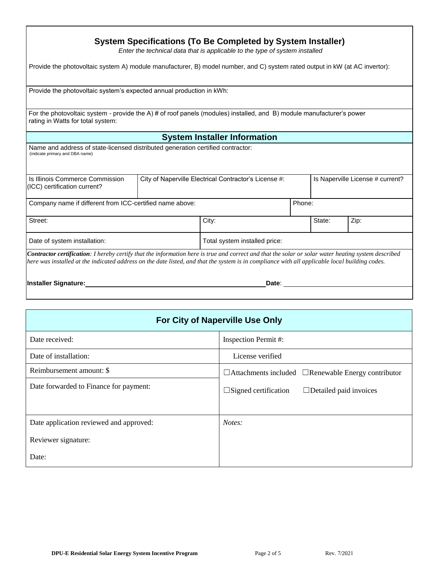| System Specifications (To Be Completed by System Installer)<br>Enter the technical data that is applicable to the type of system installed                                                                                                                                                                    |                                                       |                                     |       |        |                                  |      |  |
|---------------------------------------------------------------------------------------------------------------------------------------------------------------------------------------------------------------------------------------------------------------------------------------------------------------|-------------------------------------------------------|-------------------------------------|-------|--------|----------------------------------|------|--|
| Provide the photovoltaic system A) module manufacturer, B) model number, and C) system rated output in kW (at AC invertor):                                                                                                                                                                                   |                                                       |                                     |       |        |                                  |      |  |
| Provide the photovoltaic system's expected annual production in kWh:                                                                                                                                                                                                                                          |                                                       |                                     |       |        |                                  |      |  |
| For the photovoltaic system - provide the A) # of roof panels (modules) installed, and B) module manufacturer's power<br>rating in Watts for total system:                                                                                                                                                    |                                                       |                                     |       |        |                                  |      |  |
|                                                                                                                                                                                                                                                                                                               |                                                       | <b>System Installer Information</b> |       |        |                                  |      |  |
| Name and address of state-licensed distributed generation certified contractor:<br>(indicate primary and DBA name)                                                                                                                                                                                            |                                                       |                                     |       |        |                                  |      |  |
| Is Illinois Commerce Commission<br>(ICC) certification current?                                                                                                                                                                                                                                               | City of Naperville Electrical Contractor's License #: |                                     |       |        | Is Naperville License # current? |      |  |
| Company name if different from ICC-certified name above:                                                                                                                                                                                                                                                      |                                                       |                                     |       | Phone: |                                  |      |  |
| Street:                                                                                                                                                                                                                                                                                                       |                                                       | City:                               |       |        | State:                           | Zip: |  |
| Date of system installation:                                                                                                                                                                                                                                                                                  | Total system installed price:                         |                                     |       |        |                                  |      |  |
| <b>Contractor certification</b> : I hereby certify that the information here is true and correct and that the solar or solar water heating system described<br>here was installed at the indicated address on the date listed, and that the system is in compliance with all applicable local building codes. |                                                       |                                     |       |        |                                  |      |  |
| <b>Installer Signature:</b>                                                                                                                                                                                                                                                                                   |                                                       |                                     | Date: |        |                                  |      |  |

| For City of Naperville Use Only         |                                                                 |  |  |  |
|-----------------------------------------|-----------------------------------------------------------------|--|--|--|
| Date received:                          | <b>Inspection Permit#:</b>                                      |  |  |  |
| Date of installation:                   | License verified                                                |  |  |  |
| Reimbursement amount: \$                | $\Box$ Attachments included $\Box$ Renewable Energy contributor |  |  |  |
| Date forwarded to Finance for payment:  | $\square$ Signed certification<br>$\Box$ Detailed paid invoices |  |  |  |
| Date application reviewed and approved: | Notes:                                                          |  |  |  |
| Reviewer signature:                     |                                                                 |  |  |  |
| Date:                                   |                                                                 |  |  |  |

 $\sqrt{ }$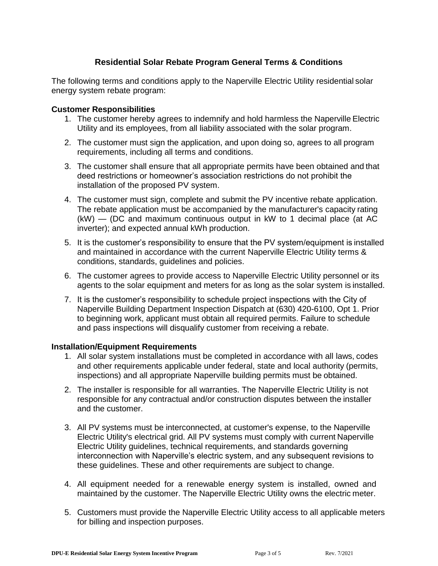## **Residential Solar Rebate Program General Terms & Conditions**

The following terms and conditions apply to the Naperville Electric Utility residential solar energy system rebate program:

#### **Customer Responsibilities**

- 1. The customer hereby agrees to indemnify and hold harmless the Naperville Electric Utility and its employees, from all liability associated with the solar program.
- 2. The customer must sign the application, and upon doing so, agrees to all program requirements, including all terms and conditions.
- 3. The customer shall ensure that all appropriate permits have been obtained and that deed restrictions or homeowner's association restrictions do not prohibit the installation of the proposed PV system.
- 4. The customer must sign, complete and submit the PV incentive rebate application. The rebate application must be accompanied by the manufacturer's capacity rating (kW) — (DC and maximum continuous output in kW to 1 decimal place (at AC inverter); and expected annual kWh production.
- 5. It is the customer's responsibility to ensure that the PV system/equipment is installed and maintained in accordance with the current Naperville Electric Utility terms & conditions, standards, guidelines and policies.
- 6. The customer agrees to provide access to Naperville Electric Utility personnel or its agents to the solar equipment and meters for as long as the solar system is installed.
- 7. It is the customer's responsibility to schedule project inspections with the City of Naperville Building Department Inspection Dispatch at (630) 420-6100, Opt 1. Prior to beginning work, applicant must obtain all required permits. Failure to schedule and pass inspections will disqualify customer from receiving a rebate.

#### **Installation/Equipment Requirements**

- 1. All solar system installations must be completed in accordance with all laws, codes and other requirements applicable under federal, state and local authority (permits, inspections) and all appropriate Naperville building permits must be obtained.
- 2. The installer is responsible for all warranties. The Naperville Electric Utility is not responsible for any contractual and/or construction disputes between the installer and the customer.
- 3. All PV systems must be interconnected, at customer's expense, to the Naperville Electric Utility's electrical grid. All PV systems must comply with current Naperville Electric Utility guidelines, technical requirements, and standards governing interconnection with Naperville's electric system, and any subsequent revisions to these guidelines. These and other requirements are subject to change.
- 4. All equipment needed for a renewable energy system is installed, owned and maintained by the customer. The Naperville Electric Utility owns the electric meter.
- 5. Customers must provide the Naperville Electric Utility access to all applicable meters for billing and inspection purposes.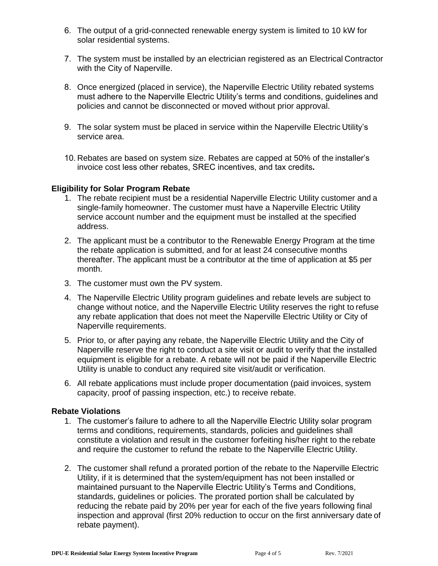- 6. The output of a grid-connected renewable energy system is limited to 10 kW for solar residential systems.
- 7. The system must be installed by an electrician registered as an Electrical Contractor with the City of Naperville.
- 8. Once energized (placed in service), the Naperville Electric Utility rebated systems must adhere to the Naperville Electric Utility's terms and conditions, guidelines and policies and cannot be disconnected or moved without prior approval.
- 9. The solar system must be placed in service within the Naperville Electric Utility's service area.
- 10. Rebates are based on system size. Rebates are capped at 50% of the installer's invoice cost less other rebates, SREC incentives, and tax credits**.**

#### **Eligibility for Solar Program Rebate**

- 1. The rebate recipient must be a residential Naperville Electric Utility customer and a single-family homeowner. The customer must have a Naperville Electric Utility service account number and the equipment must be installed at the specified address.
- 2. The applicant must be a contributor to the Renewable Energy Program at the time the rebate application is submitted, and for at least 24 consecutive months thereafter. The applicant must be a contributor at the time of application at \$5 per month.
- 3. The customer must own the PV system.
- 4. The Naperville Electric Utility program guidelines and rebate levels are subject to change without notice, and the Naperville Electric Utility reserves the right to refuse any rebate application that does not meet the Naperville Electric Utility or City of Naperville requirements.
- 5. Prior to, or after paying any rebate, the Naperville Electric Utility and the City of Naperville reserve the right to conduct a site visit or audit to verify that the installed equipment is eligible for a rebate. A rebate will not be paid if the Naperville Electric Utility is unable to conduct any required site visit/audit or verification.
- 6. All rebate applications must include proper documentation (paid invoices, system capacity, proof of passing inspection, etc.) to receive rebate.

#### **Rebate Violations**

- 1. The customer's failure to adhere to all the Naperville Electric Utility solar program terms and conditions, requirements, standards, policies and guidelines shall constitute a violation and result in the customer forfeiting his/her right to the rebate and require the customer to refund the rebate to the Naperville Electric Utility.
- 2. The customer shall refund a prorated portion of the rebate to the Naperville Electric Utility, if it is determined that the system/equipment has not been installed or maintained pursuant to the Naperville Electric Utility's Terms and Conditions, standards, guidelines or policies. The prorated portion shall be calculated by reducing the rebate paid by 20% per year for each of the five years following final inspection and approval (first 20% reduction to occur on the first anniversary date of rebate payment).